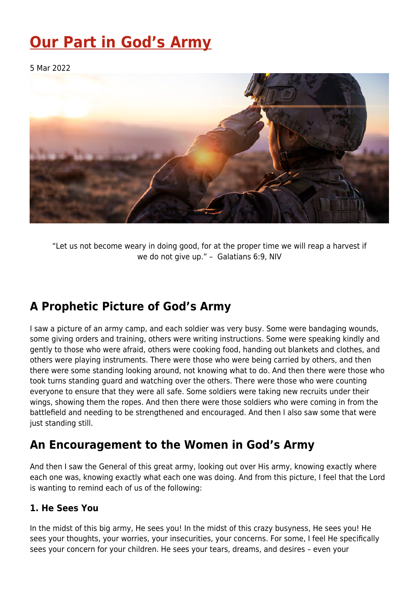# **[Our Part in God's Army](https://four12global.com/articles/our-part-in-gods-army/)**

5 Mar 2022



"Let us not become weary in doing good, for at the proper time we will reap a harvest if we do not give up." – Galatians 6:9, NIV

## **A Prophetic Picture of God's Army**

I saw a picture of an army camp, and each soldier was very busy. Some were bandaging wounds, some giving orders and training, others were writing instructions. Some were speaking kindly and gently to those who were afraid, others were cooking food, handing out blankets and clothes, and others were playing instruments. There were those who were being carried by others, and then there were some standing looking around, not knowing what to do. And then there were those who took turns standing guard and watching over the others. There were those who were counting everyone to ensure that they were all safe. Some soldiers were taking new recruits under their wings, showing them the ropes. And then there were those soldiers who were coming in from the battlefield and needing to be strengthened and encouraged. And then I also saw some that were just standing still.

### **An Encouragement to the Women in God's Army**

And then I saw the General of this great army, looking out over His army, knowing exactly where each one was, knowing exactly what each one was doing. And from this picture, I feel that the Lord is wanting to remind each of us of the following:

#### **1. He Sees You**

In the midst of this big army, He sees you! In the midst of this crazy busyness, He sees you! He sees your thoughts, your worries, your insecurities, your concerns. For some, I feel He specifically sees your concern for your children. He sees your tears, dreams, and desires – even your